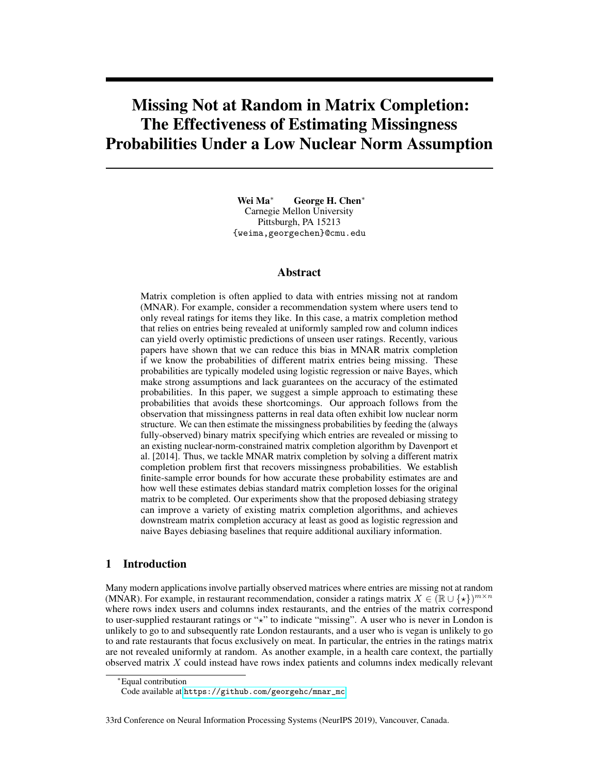# Missing Not at Random in Matrix Completion: The Effectiveness of Estimating Missingness Probabilities Under a Low Nuclear Norm Assumption

Wei Ma<sup>∗</sup> George H. Chen<sup>∗</sup> Carnegie Mellon University Pittsburgh, PA 15213 {weima,georgechen}@cmu.edu

#### Abstract

Matrix completion is often applied to data with entries missing not at random (MNAR). For example, consider a recommendation system where users tend to only reveal ratings for items they like. In this case, a matrix completion method that relies on entries being revealed at uniformly sampled row and column indices can yield overly optimistic predictions of unseen user ratings. Recently, various papers have shown that we can reduce this bias in MNAR matrix completion if we know the probabilities of different matrix entries being missing. These probabilities are typically modeled using logistic regression or naive Bayes, which make strong assumptions and lack guarantees on the accuracy of the estimated probabilities. In this paper, we suggest a simple approach to estimating these probabilities that avoids these shortcomings. Our approach follows from the observation that missingness patterns in real data often exhibit low nuclear norm structure. We can then estimate the missingness probabilities by feeding the (always fully-observed) binary matrix specifying which entries are revealed or missing to an existing nuclear-norm-constrained matrix completion algorithm by Davenport et al. [2014]. Thus, we tackle MNAR matrix completion by solving a different matrix completion problem first that recovers missingness probabilities. We establish finite-sample error bounds for how accurate these probability estimates are and how well these estimates debias standard matrix completion losses for the original matrix to be completed. Our experiments show that the proposed debiasing strategy can improve a variety of existing matrix completion algorithms, and achieves downstream matrix completion accuracy at least as good as logistic regression and naive Bayes debiasing baselines that require additional auxiliary information.

## 1 Introduction

Many modern applications involve partially observed matrices where entries are missing not at random (MNAR). For example, in restaurant recommendation, consider a ratings matrix  $X \in (\mathbb{R} \cup \{*\})^{m \times n}$ where rows index users and columns index restaurants, and the entries of the matrix correspond to user-supplied restaurant ratings or " $x$ " to indicate "missing". A user who is never in London is unlikely to go to and subsequently rate London restaurants, and a user who is vegan is unlikely to go to and rate restaurants that focus exclusively on meat. In particular, the entries in the ratings matrix are not revealed uniformly at random. As another example, in a health care context, the partially observed matrix X could instead have rows index patients and columns index medically relevant

<sup>∗</sup>Equal contribution

Code available at [https://github.com/georgehc/mnar\\_mc](https://github.com/georgehc/mnar_mc)

<sup>33</sup>rd Conference on Neural Information Processing Systems (NeurIPS 2019), Vancouver, Canada.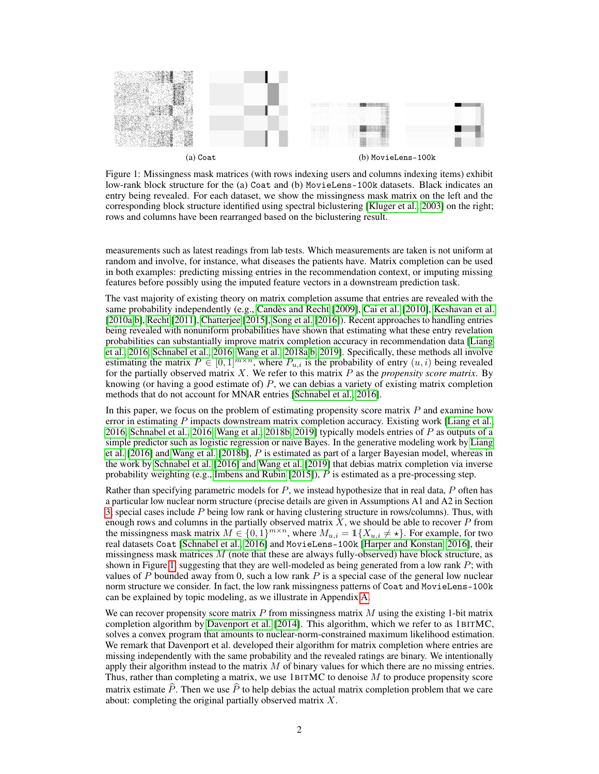<span id="page-1-0"></span>

Figure 1: Missingness mask matrices (with rows indexing users and columns indexing items) exhibit low-rank block structure for the (a) Coat and (b) MovieLens-100k datasets. Black indicates an entry being revealed. For each dataset, we show the missingness mask matrix on the left and the corresponding block structure identified using spectral biclustering [\[Kluger et al., 2003\]](#page-8-0) on the right; rows and columns have been rearranged based on the biclustering result.

measurements such as latest readings from lab tests. Which measurements are taken is not uniform at random and involve, for instance, what diseases the patients have. Matrix completion can be used in both examples: predicting missing entries in the recommendation context, or imputing missing features before possibly using the imputed feature vectors in a downstream prediction task.

The vast majority of existing theory on matrix completion assume that entries are revealed with the same probability independently (e.g., [Candès and Recht](#page-8-1) [\[2009\]](#page-8-1), [Cai et al.](#page-8-2) [\[2010\]](#page-8-2), [Keshavan et al.](#page-8-3) [\[2010a,](#page-8-3)[b\]](#page-8-4), [Recht](#page-8-5) [\[2011\]](#page-8-5), [Chatterjee](#page-8-6) [\[2015\]](#page-8-6), [Song et al.](#page-9-0) [\[2016\]](#page-9-0)). Recent approaches to handling entries being revealed with nonuniform probabilities have shown that estimating what these entry revelation probabilities can substantially improve matrix completion accuracy in recommendation data [\[Liang](#page-8-7) [et al., 2016,](#page-8-7) [Schnabel et al., 2016,](#page-9-1) [Wang et al., 2018a,](#page-9-2)[b,](#page-9-3) [2019\]](#page-9-4). Specifically, these methods all involve estimating the matrix  $P \in [0,1]^{m \times n}$ , where  $P_{u,i}$  is the probability of entry  $(u,i)$  being revealed for the partially observed matrix X. We refer to this matrix P as the *propensity score matrix*. By knowing (or having a good estimate of)  $P$ , we can debias a variety of existing matrix completion methods that do not account for MNAR entries [\[Schnabel et al., 2016\]](#page-9-1).

In this paper, we focus on the problem of estimating propensity score matrix  $P$  and examine how error in estimating P impacts downstream matrix completion accuracy. Existing work [\[Liang et al.,](#page-8-7) [2016,](#page-8-7) [Schnabel et al., 2016,](#page-9-1) [Wang et al., 2018b,](#page-9-3) [2019\]](#page-9-4) typically models entries of  $P$  as outputs of a simple predictor such as logistic regression or naive Bayes. In the generative modeling work by [Liang](#page-8-7) [et al.](#page-8-7) [\[2016\]](#page-8-7) and [Wang et al.](#page-9-3) [\[2018b\]](#page-9-3), P is estimated as part of a larger Bayesian model, whereas in the work by [Schnabel et al.](#page-9-1) [\[2016\]](#page-9-1) and [Wang et al.](#page-9-4) [\[2019\]](#page-9-4) that debias matrix completion via inverse probability weighting (e.g., [Imbens and Rubin](#page-8-8) [\[2015\]](#page-8-8)),  $P$  is estimated as a pre-processing step.

Rather than specifying parametric models for  $P$ , we instead hypothesize that in real data,  $P$  often has a particular low nuclear norm structure (precise details are given in Assumptions A1 and A2 in Section [3;](#page-3-0) special cases include  $P$  being low rank or having clustering structure in rows/columns). Thus, with enough rows and columns in the partially observed matrix  $\bar{X}$ , we should be able to recover P from the missingness mask matrix  $M \in \{0, 1\}^{m \times n}$ , where  $M_{u,i} = \mathbb{1}\{X_{u,i} \neq \star\}$ . For example, for two real datasets Coat [\[Schnabel et al., 2016\]](#page-9-1) and MovieLens-100k [\[Harper and Konstan, 2016\]](#page-8-9), their missingness mask matrices  $M$  (note that these are always fully-observed) have block structure, as shown in Figure [1,](#page-1-0) suggesting that they are well-modeled as being generated from a low rank  $P$ ; with values of P bounded away from 0, such a low rank  $P$  is a special case of the general low nuclear norm structure we consider. In fact, the low rank missingness patterns of Coat and MovieLens-100k can be explained by topic modeling, as we illustrate in Appendix A.

We can recover propensity score matrix  $P$  from missingness matrix  $M$  using the existing 1-bit matrix completion algorithm by [Davenport et al.](#page-8-10) [\[2014\]](#page-8-10). This algorithm, which we refer to as 1BITMC, solves a convex program that amounts to nuclear-norm-constrained maximum likelihood estimation. We remark that Davenport et al. developed their algorithm for matrix completion where entries are missing independently with the same probability and the revealed ratings are binary. We intentionally apply their algorithm instead to the matrix  $M$  of binary values for which there are no missing entries. Thus, rather than completing a matrix, we use  $1BITMC$  to denoise  $M$  to produce propensity score matrix estimate  $\hat{P}$ . Then we use  $\hat{P}$  to help debias the actual matrix completion problem that we care about: completing the original partially observed matrix X.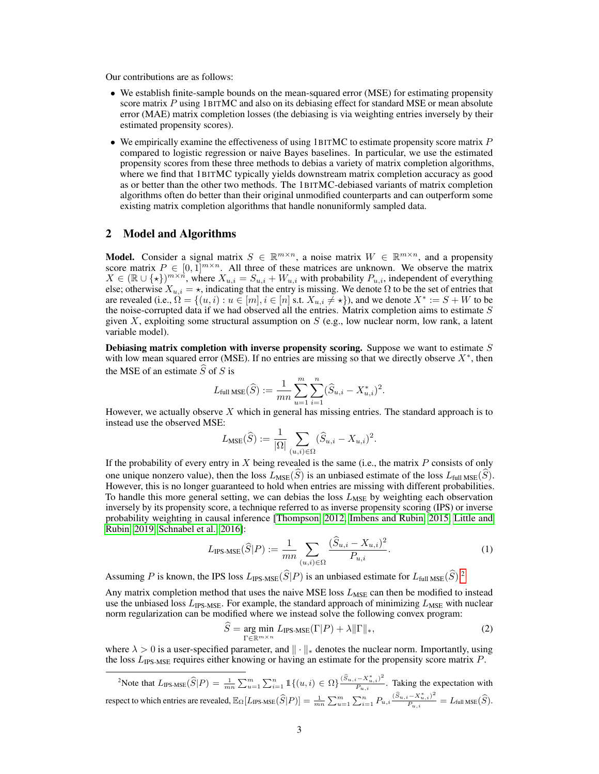Our contributions are as follows:

- We establish finite-sample bounds on the mean-squared error (MSE) for estimating propensity score matrix P using 1BITMC and also on its debiasing effect for standard MSE or mean absolute error (MAE) matrix completion losses (the debiasing is via weighting entries inversely by their estimated propensity scores).
- We empirically examine the effectiveness of using 1BITMC to estimate propensity score matrix  $P$ compared to logistic regression or naive Bayes baselines. In particular, we use the estimated propensity scores from these three methods to debias a variety of matrix completion algorithms, where we find that 1BITMC typically yields downstream matrix completion accuracy as good as or better than the other two methods. The 1BITMC-debiased variants of matrix completion algorithms often do better than their original unmodified counterparts and can outperform some existing matrix completion algorithms that handle nonuniformly sampled data.

## 2 Model and Algorithms

**Model.** Consider a signal matrix  $S \in \mathbb{R}^{m \times n}$ , a noise matrix  $W \in \mathbb{R}^{m \times n}$ , and a propensity score matrix  $P \in [0,1]^{m \times n}$ . All three of these matrices are unknown. We observe the matrix  $X \in (\mathbb{R} \cup \{ \star \})^{m \times n}$ , where  $X_{u,i} = S_{u,i} + W_{u,i}$  with probability  $P_{u,i}$ , independent of everything else; otherwise  $X_{u,i} = \star$ , indicating that the entry is missing. We denote  $\Omega$  to be the set of entries that are revealed (i.e.,  $\hat{\Omega} = \{(u, i) : u \in [m], i \in [n] \text{ s.t. } X_{u,i} \neq \star\}$ ), and we denote  $X^* := S + W$  to be the noise-corrupted data if we had observed all the entries. Matrix completion aims to estimate  $S$ given X, exploiting some structural assumption on  $S$  (e.g., low nuclear norm, low rank, a latent variable model).

Debiasing matrix completion with inverse propensity scoring. Suppose we want to estimate  $S$ with low mean squared error (MSE). If no entries are missing so that we directly observe  $X^*$ , then the MSE of an estimate  $\widehat{S}$  of S is

$$
L_{\text{full MSE}}(\widehat{S}) := \frac{1}{mn} \sum_{u=1}^{m} \sum_{i=1}^{n} (\widehat{S}_{u,i} - X_{u,i}^*)^2.
$$

However, we actually observe  $X$  which in general has missing entries. The standard approach is to instead use the observed MSE:

$$
L_{\text{MSE}}(\widehat{S}) := \frac{1}{|\Omega|} \sum_{(u,i) \in \Omega} (\widehat{S}_{u,i} - X_{u,i})^2.
$$

If the probability of every entry in  $X$  being revealed is the same (i.e., the matrix  $P$  consists of only one unique nonzero value), then the loss  $L_{MSE}(\widehat{S})$  is an unbiased estimate of the loss  $L_{full MSE}(\widehat{S})$ . However, this is no longer guaranteed to hold when entries are missing with different probabilities. To handle this more general setting, we can debias the loss  $L_{MSE}$  by weighting each observation inversely by its propensity score, a technique referred to as inverse propensity scoring (IPS) or inverse probability weighting in causal inference [\[Thompson, 2012,](#page-9-5) [Imbens and Rubin, 2015,](#page-8-8) [Little and](#page-8-11) [Rubin, 2019,](#page-8-11) [Schnabel et al., 2016\]](#page-9-1):

<span id="page-2-2"></span>
$$
L_{\text{IPS-MSE}}(\widehat{S}|P) := \frac{1}{mn} \sum_{(u,i) \in \Omega} \frac{(\widehat{S}_{u,i} - X_{u,i})^2}{P_{u,i}}.
$$
 (1)

Assuming P is known, the IPS loss  $L_{\text{IPS-MSE}}(\hat{S}|P)$  is an unbiased estimate for  $L_{\text{full MSE}}(\hat{S})$ .<sup>[2](#page-2-0)</sup>

Any matrix completion method that uses the naive MSE loss  $L_{MSE}$  can then be modified to instead use the unbiased loss  $L_{\text{IPS-MSE}}$ . For example, the standard approach of minimizing  $L_{\text{MSE}}$  with nuclear norm regularization can be modified where we instead solve the following convex program:

<span id="page-2-1"></span>
$$
\widehat{S} = \underset{\Gamma \in \mathbb{R}^{m \times n}}{\arg \min} \ L_{\text{IPS-MSE}}(\Gamma | P) + \lambda ||\Gamma||_*,\tag{2}
$$

where  $\lambda > 0$  is a user-specified parameter, and  $\|\cdot\|_*$  denotes the nuclear norm. Importantly, using the loss  $L_{\text{IPS-MSE}}$  requires either knowing or having an estimate for the propensity score matrix P.

<span id="page-2-0"></span><sup>2</sup>Note that  $L_{\text{IPS-MSE}}(\widehat{S}|P) = \frac{1}{mn} \sum_{u=1}^{m} \sum_{i=1}^{n} \mathbb{1}\{(u,i) \in \Omega\} \frac{(\widehat{S}_{u,i} - X_{u,i}^*)^2}{P_{u,i}}$  $\frac{P_{u,i}}{P_{u,i}}$ . Taking the expectation with respect to which entries are revealed,  $\mathbb{E}_{\Omega}[L_{\text{IPS-MSE}}(\widehat{S}|P)]=\frac{1}{mn}\sum_{u=1}^{m}\sum_{i=1}^{n}P_{u,i}\frac{(\widehat{S}_{u,i}-X_{u,i}^*)^2}{P_{u,i}}$  $\frac{P_{n+1}(S)}{P_{n+1}(S)} = L_{\text{full MSE}}(S).$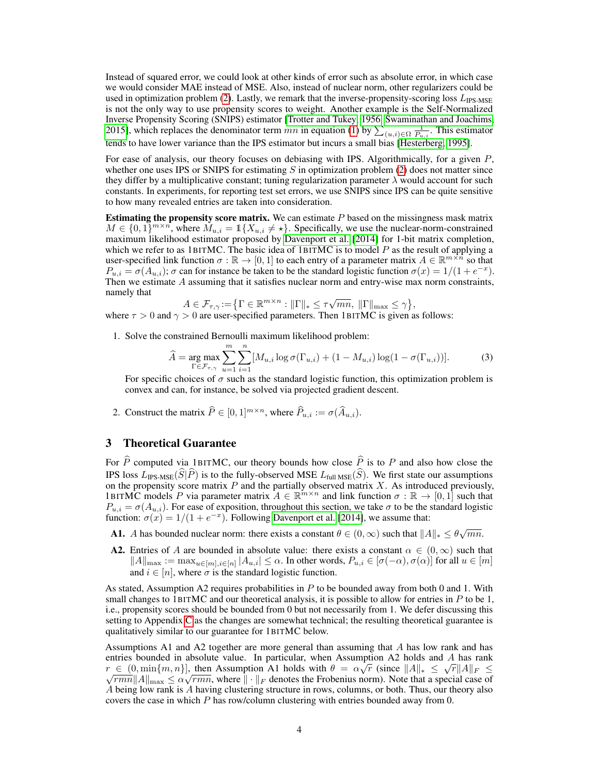Instead of squared error, we could look at other kinds of error such as absolute error, in which case we would consider MAE instead of MSE. Also, instead of nuclear norm, other regularizers could be used in optimization problem [\(2\)](#page-2-1). Lastly, we remark that the inverse-propensity-scoring loss  $L_{\text{IPS-MSE}}$ is not the only way to use propensity scores to weight. Another example is the Self-Normalized Inverse Propensity Scoring (SNIPS) estimator [\[Trotter and Tukey, 1956,](#page-9-6) [Swaminathan and Joachims,](#page-9-7) [2015\]](#page-9-7), which replaces the denominator term mn in equation [\(1\)](#page-2-2) by  $\sum_{(u,i)\in\Omega} \frac{1}{P_{u,i}}$ . This estimator tends to have lower variance than the IPS estimator but incurs a small bias [\[Hesterberg, 1995\]](#page-8-12).

For ease of analysis, our theory focuses on debiasing with IPS. Algorithmically, for a given  $P$ , whether one uses IPS or SNIPS for estimating  $S$  in optimization problem [\(2\)](#page-2-1) does not matter since they differ by a multiplicative constant; tuning regularization parameter  $\lambda$  would account for such constants. In experiments, for reporting test set errors, we use SNIPS since IPS can be quite sensitive to how many revealed entries are taken into consideration.

Estimating the propensity score matrix. We can estimate  $P$  based on the missingness mask matrix  $M \in \{0,1\}^{m \times n}$ , where  $M_{u,i} = \mathbb{1}\{X_{u,i} \neq \star\}$ . Specifically, we use the nuclear-norm-constrained maximum likelihood estimator proposed by [Davenport et al.](#page-8-10) [\[2014\]](#page-8-10) for 1-bit matrix completion, which we refer to as 1BITMC. The basic idea of 1BITMC is to model  $P$  as the result of applying a user-specified link function  $\sigma : \mathbb{R} \to [0,1]$  to each entry of a parameter matrix  $A \in \mathbb{R}^{m \times n}$  so that  $P_{u,i} = \sigma(A_{u,i})$ ;  $\sigma$  can for instance be taken to be the standard logistic function  $\sigma(x) = 1/(1 + e^{-x})$ . Then we estimate A assuming that it satisfies nuclear norm and entry-wise max norm constraints, namely that √

<span id="page-3-1"></span>
$$
A \in \mathcal{F}_{\tau,\gamma} := \left\{ \Gamma \in \mathbb{R}^{m \times n} : \|\Gamma\|_{*} \leq \tau \sqrt{mn}, \|\Gamma\|_{\max} \leq \gamma \right\},\
$$

where  $\tau > 0$  and  $\gamma > 0$  are user-specified parameters. Then 1BITMC is given as follows:

1. Solve the constrained Bernoulli maximum likelihood problem:

$$
\widehat{A} = \underset{\Gamma \in \mathcal{F}_{\tau, \gamma}}{\arg \max} \sum_{u=1}^{m} \sum_{i=1}^{n} [M_{u,i} \log \sigma(\Gamma_{u,i}) + (1 - M_{u,i}) \log(1 - \sigma(\Gamma_{u,i}))]. \tag{3}
$$

For specific choices of  $\sigma$  such as the standard logistic function, this optimization problem is convex and can, for instance, be solved via projected gradient descent.

2. Construct the matrix  $\widehat{P} \in [0, 1]^{m \times n}$ , where  $\widehat{P}_{u,i} := \sigma(\widehat{A}_{u,i}).$ 

### <span id="page-3-0"></span>3 Theoretical Guarantee

For  $\hat{P}$  computed via 1BITMC, our theory bounds how close  $\hat{P}$  is to P and also how close the IPS loss  $L_{\text{IPS-MSE}}(\widehat{S}|\widehat{P})$  is to the fully-observed MSE  $L_{\text{full MSE}}(\widehat{S})$ . We first state our assumptions on the propensity score matrix  $P$  and the partially observed matrix  $X$ . As introduced previously, 1BITMC models P via parameter matrix  $A \in \mathbb{R}^{m \times n}$  and link function  $\sigma : \mathbb{R} \to [0,1]$  such that  $P_{u,i} = \sigma(A_{u,i})$ . For ease of exposition, throughout this section, we take  $\sigma$  to be the standard logistic function:  $\sigma(x) = 1/(1 + e^{-x})$ . Following [Davenport et al.](#page-8-10) [\[2014\]](#page-8-10), we assume that:

- **A1.** A has bounded nuclear norm: there exists a constant  $\theta \in (0, \infty)$  such that  $||A||_* \leq \theta \sqrt{mn}$ .
- **A2.** Entries of A are bounded in absolute value: there exists a constant  $\alpha \in (0, \infty)$  such that  $||A||_{\max} := \max_{u \in [m], i \in [n]} |A_{u,i}| \leq \alpha$ . In other words,  $P_{u,i} \in [\sigma(-\alpha), \sigma(\alpha)]$  for all  $u \in [m]$ and  $i \in [n]$ , where  $\sigma$  is the standard logistic function.

As stated, Assumption A2 requires probabilities in  $P$  to be bounded away from both 0 and 1. With small changes to 1BITMC and our theoretical analysis, it is possible to allow for entries in  $P$  to be 1, i.e., propensity scores should be bounded from 0 but not necessarily from 1. We defer discussing this setting to Appendix C as the changes are somewhat technical; the resulting theoretical guarantee is qualitatively similar to our guarantee for 1BITMC below.

Assumptions A1 and A2 together are more general than assuming that A has low rank and has entries bounded in absolute value. In particular, when Assumption A2 holds and A has rank  $r \in (0, \min\{m, n\}],$  then Assumption A1 holds with  $\theta = \alpha \sqrt{r}$  (since  $||A||_* \leq \sqrt{r} ||A||_F \leq$  $\overline{rmn}||A||_{\text{max}} \le \alpha \sqrt{rmn}$ , where  $\|\cdot\|_F$  denotes the Frobenius norm). Note that a special case of A being low rank is A having clustering structure in rows, columns, or both. Thus, our theory also covers the case in which P has row/column clustering with entries bounded away from 0.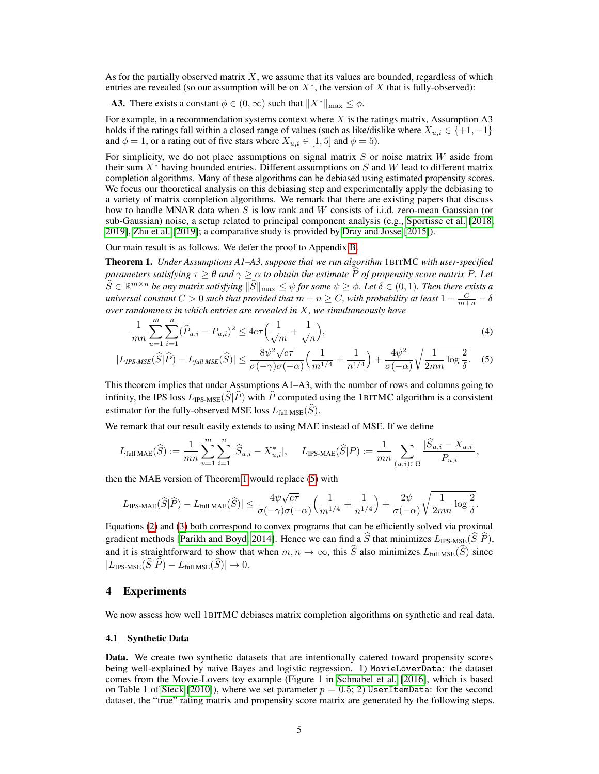As for the partially observed matrix  $X$ , we assume that its values are bounded, regardless of which entries are revealed (so our assumption will be on  $X^*$ , the version of X that is fully-observed):

**A3.** There exists a constant  $\phi \in (0, \infty)$  such that  $||X^*||_{\max} \leq \phi$ .

For example, in a recommendation systems context where  $X$  is the ratings matrix, Assumption A3 holds if the ratings fall within a closed range of values (such as like/dislike where  $X_{u,i} \in \{+1, -1\}$ and  $\phi = 1$ , or a rating out of five stars where  $X_{u,i} \in [1, 5]$  and  $\phi = 5$ ).

For simplicity, we do not place assumptions on signal matrix  $S$  or noise matrix  $W$  aside from their sum  $X^*$  having bounded entries. Different assumptions on S and W lead to different matrix completion algorithms. Many of these algorithms can be debiased using estimated propensity scores. We focus our theoretical analysis on this debiasing step and experimentally apply the debiasing to a variety of matrix completion algorithms. We remark that there are existing papers that discuss how to handle MNAR data when  $S$  is low rank and  $W$  consists of i.i.d. zero-mean Gaussian (or sub-Gaussian) noise, a setup related to principal component analysis (e.g., [Sportisse et al.](#page-9-8) [\[2018,](#page-9-8) [2019\]](#page-9-9), [Zhu et al.](#page-9-10) [\[2019\]](#page-9-10); a comparative study is provided by [Dray and Josse](#page-8-13) [\[2015\]](#page-8-13)).

Our main result is as follows. We defer the proof to Appendix B.

<span id="page-4-0"></span>Theorem 1. *Under Assumptions A1–A3, suppose that we run algorithm* 1BITMC *with user-specified parameters satisfying*  $\tau \geq \theta$  *and*  $\gamma \geq \alpha$  *to obtain the estimate*  $\widehat{P}$  *of propensity score matrix* P. Let  $\widehat{S} \in \mathbb{R}^{m \times n}$  *be any matrix satisfying*  $\|\widehat{S}\|_{\max} \leq \psi$  for some  $\psi \geq \phi$ . Let  $\delta \in (0,1)$ . Then there exists a *universal constant*  $C > 0$  *such that provided that*  $m + n \geq C$ , with probability at least  $1 - \frac{C}{m+n} - \delta$ *over randomness in which entries are revealed in* X*, we simultaneously have*

<span id="page-4-1"></span>
$$
\frac{1}{mn} \sum_{u=1}^{m} \sum_{i=1}^{n} (\hat{P}_{u,i} - P_{u,i})^2 \le 4e\tau \left(\frac{1}{\sqrt{m}} + \frac{1}{\sqrt{n}}\right),\tag{4}
$$

$$
|L_{IPS\text{-}MSE}(\widehat{S}|\widehat{P}) - L_{\text{full MSE}}(\widehat{S})| \le \frac{8\psi^2\sqrt{e\tau}}{\sigma(-\gamma)\sigma(-\alpha)} \Big(\frac{1}{m^{1/4}} + \frac{1}{n^{1/4}}\Big) + \frac{4\psi^2}{\sigma(-\alpha)}\sqrt{\frac{1}{2mn}\log\frac{2}{\delta}}.\tag{5}
$$

This theorem implies that under Assumptions A1–A3, with the number of rows and columns going to infinity, the IPS loss  $L_{\text{IPS-MSE}}(\widehat{S}|\widehat{P})$  with  $\widehat{P}$  computed using the 1BITMC algorithm is a consistent estimator for the fully-observed MSE loss  $L_{\text{full MSE}}(\widehat{S})$ .

We remark that our result easily extends to using MAE instead of MSE. If we define

$$
L_{\text{full MAE}}(\widehat{S}):=\frac{1}{mn}\sum_{u=1}^m\sum_{i=1}^n|\widehat{S}_{u,i}-X^*_{u,i}|, \quad \ \ L_{\text{IPS-MAE}}(\widehat{S}|P):=\frac{1}{mn}\sum_{(u,i)\in\Omega}\frac{|\widehat{S}_{u,i}-X_{u,i}|}{P_{u,i}},
$$

then the MAE version of Theorem [1](#page-4-0) would replace [\(5\)](#page-4-1) with

$$
|L_{\text{IPS-MAE}}(\widehat{S}|\widehat{P})-L_{\text{full MAE}}(\widehat{S})|\leq \frac{4\psi\sqrt{e\tau}}{\sigma(-\gamma)\sigma(-\alpha)}\Big(\frac{1}{m^{1/4}}+\frac{1}{n^{1/4}}\Big)+\frac{2\psi}{\sigma(-\alpha)}\sqrt{\frac{1}{2mn}\log\frac{2}{\delta}}.
$$

Equations [\(2\)](#page-2-1) and [\(3\)](#page-3-1) both correspond to convex programs that can be efficiently solved via proximal gradient methods [\[Parikh and Boyd, 2014\]](#page-8-14). Hence we can find a  $\hat{S}$  that minimizes  $L_{\text{IPS-MSE}}(\hat{S}|\hat{P})$ , and it is straightforward to show that when  $m, n \to \infty$ , this  $\widehat{S}$  also minimizes  $L_{\text{full MSE}}(\widehat{S})$  since  $|L_{\text{IPS-MSE}}(\widehat{S}|\widehat{P}) - L_{\text{full MSE}}(\widehat{S})| \to 0.$ 

#### 4 Experiments

We now assess how well 1BITMC debiases matrix completion algorithms on synthetic and real data.

#### 4.1 Synthetic Data

Data. We create two synthetic datasets that are intentionally catered toward propensity scores being well-explained by naive Bayes and logistic regression. 1) MovieLoverData: the dataset comes from the Movie-Lovers toy example (Figure 1 in [Schnabel et al.](#page-9-1) [\[2016\]](#page-9-1), which is based on Table 1 of [Steck](#page-9-11) [\[2010\]](#page-9-11)), where we set parameter  $p = 0.5$ ; 2) UserItemData: for the second dataset, the "true" rating matrix and propensity score matrix are generated by the following steps.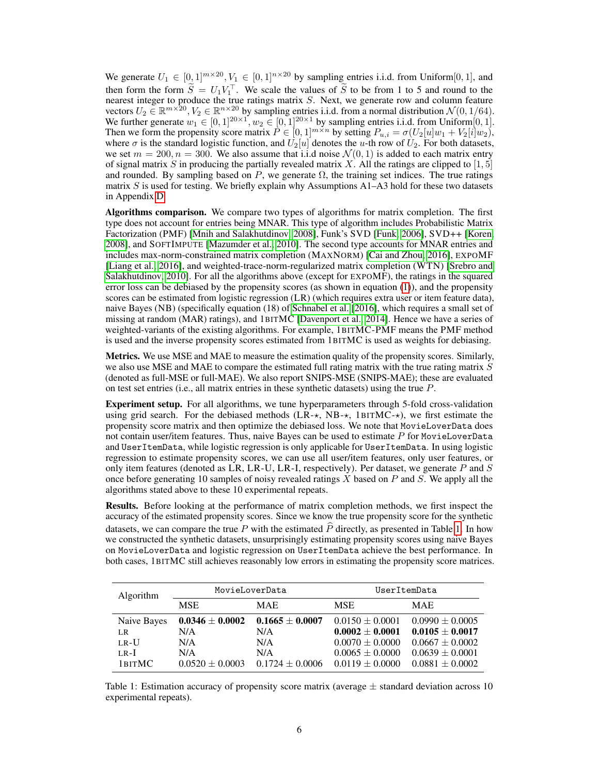We generate  $U_1 \in [0,1]^{m \times 20}, V_1 \in [0,1]^{n \times 20}$  by sampling entries i.i.d. from Uniform [0, 1], and then form the form  $\tilde{S} = U_1 V_1^{\top}$ . We scale the values of  $\tilde{S}$  to be from 1 to 5 and round to the nearest integer to produce the true ratings matrix S. Next, we generate row and column feature vectors  $U_2 \in \mathbb{R}^{m \times 20}$ ,  $V_2 \in \mathbb{R}^{n \times 20}$  by sampling entries i.i.d. from a normal distribution  $\mathcal{N}(0, 1/64)$ . We further generate  $w_1 \in [0, 1]^{20 \times 1}$ ,  $w_2 \in [0, 1]^{20 \times 1}$  by sampling entries i.i.d. from Uniform $[0, 1]$ . Then we form the propensity score matrix  $P \in [0,1]^{m \times n}$  by setting  $P_{u,i} = \sigma(U_2[u]w_1 + V_2[i]w_2)$ , where  $\sigma$  is the standard logistic function, and  $U_2[u]$  denotes the u-th row of  $U_2$ . For both datasets, we set  $m = 200, n = 300$ . We also assume that i.i.d noise  $\mathcal{N}(0, 1)$  is added to each matrix entry of signal matrix S in producing the partially revealed matrix X. All the ratings are clipped to [1, 5] and rounded. By sampling based on P, we generate  $\Omega$ , the training set indices. The true ratings matrix  $S$  is used for testing. We briefly explain why Assumptions A1–A3 hold for these two datasets in Appendix D.

Algorithms comparison. We compare two types of algorithms for matrix completion. The first type does not account for entries being MNAR. This type of algorithm includes Probabilistic Matrix Factorization (PMF) [\[Mnih and Salakhutdinov, 2008\]](#page-8-15), Funk's SVD [\[Funk, 2006\]](#page-8-16), SVD++ [\[Koren,](#page-8-17) [2008\]](#page-8-17), and SOFTIMPUTE [\[Mazumder et al., 2010\]](#page-8-18). The second type accounts for MNAR entries and includes max-norm-constrained matrix completion (MAXNORM) [\[Cai and Zhou, 2016\]](#page-8-19), EXPOMF [\[Liang et al., 2016\]](#page-8-7), and weighted-trace-norm-regularized matrix completion (WTN) [\[Srebro and](#page-9-12) [Salakhutdinov, 2010\]](#page-9-12). For all the algorithms above (except for EXPOMF), the ratings in the squared error loss can be debiased by the propensity scores (as shown in equation [\(1\)](#page-2-2)), and the propensity scores can be estimated from logistic regression (LR) (which requires extra user or item feature data), naive Bayes (NB) (specifically equation (18) of [Schnabel et al.](#page-9-1) [\[2016\]](#page-9-1), which requires a small set of missing at random (MAR) ratings), and 1BITMC [\[Davenport et al., 2014\]](#page-8-10). Hence we have a series of weighted-variants of the existing algorithms. For example, 1BITMC-PMF means the PMF method is used and the inverse propensity scores estimated from 1BITMC is used as weights for debiasing.

Metrics. We use MSE and MAE to measure the estimation quality of the propensity scores. Similarly, we also use MSE and MAE to compare the estimated full rating matrix with the true rating matrix  $S$ (denoted as full-MSE or full-MAE). We also report SNIPS-MSE (SNIPS-MAE); these are evaluated on test set entries (i.e., all matrix entries in these synthetic datasets) using the true  $P$ .

Experiment setup. For all algorithms, we tune hyperparameters through 5-fold cross-validation using grid search. For the debiased methods  $(LR-x, NB-x, 1BITMC-x)$ , we first estimate the propensity score matrix and then optimize the debiased loss. We note that MovieLoverData does not contain user/item features. Thus, naive Bayes can be used to estimate  $P$  for MovieLoverData and UserItemData, while logistic regression is only applicable for UserItemData. In using logistic regression to estimate propensity scores, we can use all user/item features, only user features, or only item features (denoted as LR, LR-U, LR-I, respectively). Per dataset, we generate  $P$  and  $S$ once before generating 10 samples of noisy revealed ratings X based on P and S. We apply all the algorithms stated above to these 10 experimental repeats.

Results. Before looking at the performance of matrix completion methods, we first inspect the accuracy of the estimated propensity scores. Since we know the true propensity score for the synthetic datasets, we can compare the true P with the estimated  $\hat{P}$  directly, as presented in Table [1.](#page-5-0) In how we constructed the synthetic datasets, unsurprisingly estimating propensity scores using naive Bayes on MovieLoverData and logistic regression on UserItemData achieve the best performance. In both cases, 1BITMC still achieves reasonably low errors in estimating the propensity score matrices.

<span id="page-5-0"></span>

| <b>Algorithm</b> | MovieLoverData      |                     | UserItemData        |                     |
|------------------|---------------------|---------------------|---------------------|---------------------|
|                  | <b>MSE</b>          | <b>MAE</b>          | <b>MSE</b>          | <b>MAE</b>          |
| Naive Bayes      | $0.0346 \pm 0.0002$ | $0.1665 \pm 0.0007$ | $0.0150 \pm 0.0001$ | $0.0990 \pm 0.0005$ |
| LR.              | N/A                 | N/A                 | $0.0002 \pm 0.0001$ | $0.0105 \pm 0.0017$ |
| $LR$ -U          | N/A                 | N/A                 | $0.0070 \pm 0.0000$ | $0.0667 + 0.0002$   |
| $L_{\rm R}$ -I   | N/A                 | N/A                 | $0.0065 \pm 0.0000$ | $0.0639 \pm 0.0001$ |
| 1 BITMC          | $0.0520 \pm 0.0003$ | $0.1724 \pm 0.0006$ | $0.0119 \pm 0.0000$ | $0.0881 + 0.0002$   |

Table 1: Estimation accuracy of propensity score matrix (average  $\pm$  standard deviation across 10 experimental repeats).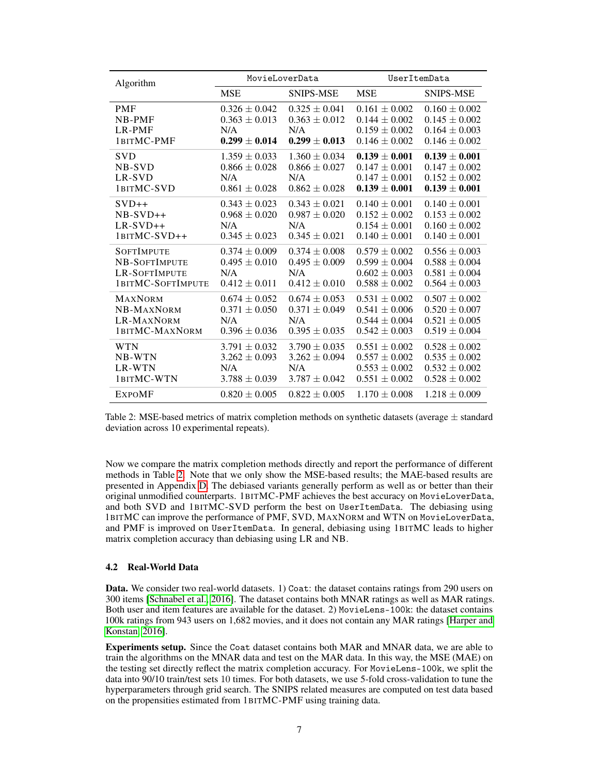<span id="page-6-0"></span>

| Algorithm                                                                       |                                                                    | MovieLoverData                                                     | UserItemData                                                                     |                                                                                  |
|---------------------------------------------------------------------------------|--------------------------------------------------------------------|--------------------------------------------------------------------|----------------------------------------------------------------------------------|----------------------------------------------------------------------------------|
|                                                                                 | <b>MSE</b>                                                         | <b>SNIPS-MSE</b>                                                   | <b>MSE</b>                                                                       | <b>SNIPS-MSE</b>                                                                 |
| <b>PMF</b><br><b>NB-PMF</b><br>LR-PMF<br>1BITMC-PMF                             | $0.326 \pm 0.042$<br>$0.363 \pm 0.013$<br>N/A<br>$0.299 \pm 0.014$ | $0.325 \pm 0.041$<br>$0.363 \pm 0.012$<br>N/A<br>$0.299 \pm 0.013$ | $0.161 \pm 0.002$<br>$0.144 \pm 0.002$<br>$0.159 \pm 0.002$<br>$0.146 \pm 0.002$ | $0.160 \pm 0.002$<br>$0.145 \pm 0.002$<br>$0.164 \pm 0.003$<br>$0.146 \pm 0.002$ |
| <b>SVD</b><br>NB-SVD<br>LR-SVD<br>1BITMC-SVD                                    | $1.359 \pm 0.033$<br>$0.866 \pm 0.028$<br>N/A<br>$0.861 \pm 0.028$ | $1.360 \pm 0.034$<br>$0.866 \pm 0.027$<br>N/A<br>$0.862 \pm 0.028$ | $0.139 \pm 0.001$<br>$0.147 \pm 0.001$<br>$0.147 \pm 0.001$<br>$0.139 \pm 0.001$ | $0.139 \pm 0.001$<br>$0.147 \pm 0.002$<br>$0.152 \pm 0.002$<br>$0.139 \pm 0.001$ |
| $SVD++$<br>$NB-SVD++$<br>$LR-SVD++$<br>1BITMC-SVD++                             | $0.343 \pm 0.023$<br>$0.968 \pm 0.020$<br>N/A<br>$0.345 \pm 0.023$ | $0.343 \pm 0.021$<br>$0.987 \pm 0.020$<br>N/A<br>$0.345 \pm 0.021$ | $0.140 \pm 0.001$<br>$0.152 \pm 0.002$<br>$0.154 \pm 0.001$<br>$0.140 \pm 0.001$ | $0.140 \pm 0.001$<br>$0.153 \pm 0.002$<br>$0.160 \pm 0.002$<br>$0.140 \pm 0.001$ |
| <b>SOFTIMPUTE</b><br>NB-SOFTIMPUTE<br><b>LR-SOFTIMPUTE</b><br>1BITMC-SOFTIMPUTE | $0.374 \pm 0.009$<br>$0.495 \pm 0.010$<br>N/A<br>$0.412 \pm 0.011$ | $0.374 \pm 0.008$<br>$0.495 \pm 0.009$<br>N/A<br>$0.412 \pm 0.010$ | $0.579 \pm 0.002$<br>$0.599 \pm 0.004$<br>$0.602 \pm 0.003$<br>$0.588 \pm 0.002$ | $0.556 \pm 0.003$<br>$0.588 \pm 0.004$<br>$0.581 \pm 0.004$<br>$0.564 \pm 0.003$ |
| <b>MAXNORM</b><br>NB-MAXNORM<br>LR-MAXNORM<br>1BITMC-MAXNORM                    | $0.674 \pm 0.052$<br>$0.371 \pm 0.050$<br>N/A<br>$0.396 \pm 0.036$ | $0.674 \pm 0.053$<br>$0.371 \pm 0.049$<br>N/A<br>$0.395 \pm 0.035$ | $0.531 \pm 0.002$<br>$0.541 \pm 0.006$<br>$0.544 \pm 0.004$<br>$0.542 \pm 0.003$ | $0.507 \pm 0.002$<br>$0.520 \pm 0.007$<br>$0.521 \pm 0.005$<br>$0.519 \pm 0.004$ |
| <b>WTN</b><br>NB-WTN<br>LR-WTN<br>1BITMC-WTN                                    | $3.791 \pm 0.032$<br>$3.262 \pm 0.093$<br>N/A<br>$3.788 \pm 0.039$ | $3.790 \pm 0.035$<br>$3.262 \pm 0.094$<br>N/A<br>$3.787 \pm 0.042$ | $0.551 \pm 0.002$<br>$0.557 \pm 0.002$<br>$0.553 \pm 0.002$<br>$0.551 \pm 0.002$ | $0.528 \pm 0.002$<br>$0.535 \pm 0.002$<br>$0.532 \pm 0.002$<br>$0.528 \pm 0.002$ |
| <b>EXPOMF</b>                                                                   | $0.820 \pm 0.005$                                                  | $0.822 \pm 0.005$                                                  | $1.170 \pm 0.008$                                                                | $1.218 \pm 0.009$                                                                |

Table 2: MSE-based metrics of matrix completion methods on synthetic datasets (average  $\pm$  standard deviation across 10 experimental repeats).

Now we compare the matrix completion methods directly and report the performance of different methods in Table [2.](#page-6-0) Note that we only show the MSE-based results; the MAE-based results are presented in Appendix D. The debiased variants generally perform as well as or better than their original unmodified counterparts. 1BITMC-PMF achieves the best accuracy on MovieLoverData, and both SVD and 1BITMC-SVD perform the best on UserItemData. The debiasing using 1BITMC can improve the performance of PMF, SVD, MAXNORM and WTN on MovieLoverData, and PMF is improved on UserItemData. In general, debiasing using 1BITMC leads to higher matrix completion accuracy than debiasing using LR and NB.

#### 4.2 Real-World Data

Data. We consider two real-world datasets. 1) Coat: the dataset contains ratings from 290 users on 300 items [\[Schnabel et al., 2016\]](#page-9-1). The dataset contains both MNAR ratings as well as MAR ratings. Both user and item features are available for the dataset. 2) MovieLens-100k: the dataset contains 100k ratings from 943 users on 1,682 movies, and it does not contain any MAR ratings [\[Harper and](#page-8-9) [Konstan, 2016\]](#page-8-9).

Experiments setup. Since the Coat dataset contains both MAR and MNAR data, we are able to train the algorithms on the MNAR data and test on the MAR data. In this way, the MSE (MAE) on the testing set directly reflect the matrix completion accuracy. For MovieLens-100k, we split the data into 90/10 train/test sets 10 times. For both datasets, we use 5-fold cross-validation to tune the hyperparameters through grid search. The SNIPS related measures are computed on test data based on the propensities estimated from 1BITMC-PMF using training data.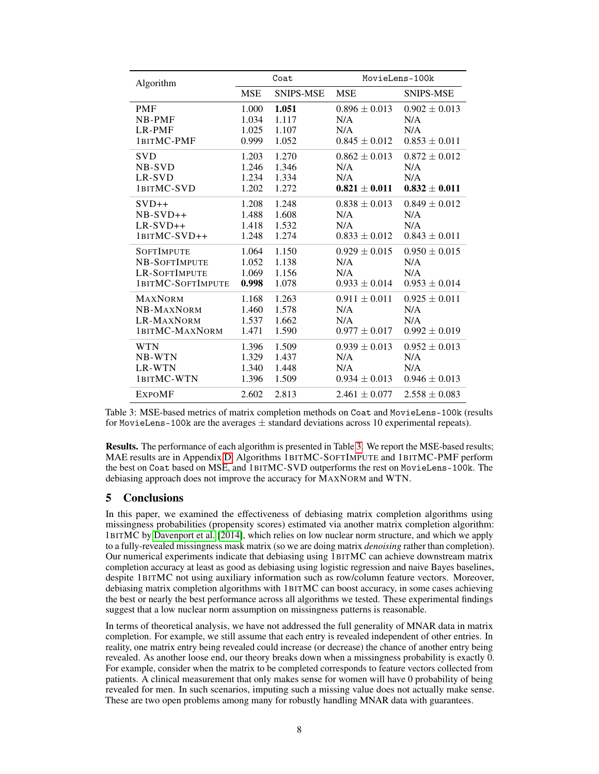<span id="page-7-0"></span>

| Algorithm         | Coat       |           | MovieLens-100k    |                   |
|-------------------|------------|-----------|-------------------|-------------------|
|                   | <b>MSE</b> | SNIPS-MSE | <b>MSE</b>        | <b>SNIPS-MSE</b>  |
| <b>PMF</b>        | 1.000      | 1.051     | $0.896 \pm 0.013$ | $0.902 \pm 0.013$ |
| <b>NB-PMF</b>     | 1.034      | 1.117     | N/A               | N/A               |
| LR-PMF            | 1.025      | 1.107     | N/A               | N/A               |
| 1BITMC-PMF        | 0.999      | 1.052     | $0.845 \pm 0.012$ | $0.853 \pm 0.011$ |
| <b>SVD</b>        | 1.203      | 1.270     | $0.862 \pm 0.013$ | $0.872 \pm 0.012$ |
| NB-SVD            | 1.246      | 1.346     | N/A               | N/A               |
| LR-SVD            | 1.234      | 1.334     | N/A               | N/A               |
| 1BITMC-SVD        | 1.202      | 1.272     | $0.821 \pm 0.011$ | $0.832 \pm 0.011$ |
| $SVD++$           | 1.208      | 1.248     | $0.838 \pm 0.013$ | $0.849 \pm 0.012$ |
| $NB-SVD++$        | 1.488      | 1.608     | N/A               | N/A               |
| $LR-SVD++$        | 1.418      | 1.532     | N/A               | N/A               |
| 1BITMC-SVD++      | 1.248      | 1.274     | $0.833 \pm 0.012$ | $0.843 \pm 0.011$ |
| <b>SOFTIMPUTE</b> | 1.064      | 1.150     | $0.929 \pm 0.015$ | $0.950 \pm 0.015$ |
| NB-SOFTIMPUTE     | 1.052      | 1.138     | N/A               | N/A               |
| LR-SOFTIMPUTE     | 1.069      | 1.156     | N/A               | N/A               |
| 1BITMC-SOFTIMPUTE | 0.998      | 1.078     | $0.933 \pm 0.014$ | $0.953 \pm 0.014$ |
| <b>MAXNORM</b>    | 1.168      | 1.263     | $0.911 \pm 0.011$ | $0.925 \pm 0.011$ |
| NB-MAXNORM        | 1.460      | 1.578     | N/A               | N/A               |
| LR-MAXNORM        | 1.537      | 1.662     | N/A               | N/A               |
| 1BITMC-MAXNORM    | 1.471      | 1.590     | $0.977 \pm 0.017$ | $0.992 \pm 0.019$ |
| <b>WTN</b>        | 1.396      | 1.509     | $0.939 \pm 0.013$ | $0.952 \pm 0.013$ |
| NB-WTN            | 1.329      | 1.437     | N/A               | N/A               |
| LR-WTN            | 1.340      | 1.448     | N/A               | N/A               |
| 1BITMC-WTN        | 1.396      | 1.509     | $0.934 \pm 0.013$ | $0.946 \pm 0.013$ |
| <b>EXPOMF</b>     | 2.602      | 2.813     | $2.461 \pm 0.077$ | $2.558 \pm 0.083$ |

Table 3: MSE-based metrics of matrix completion methods on Coat and MovieLens-100k (results for MovieLens-100k are the averages  $\pm$  standard deviations across 10 experimental repeats).

Results. The performance of each algorithm is presented in Table [3.](#page-7-0) We report the MSE-based results; MAE results are in Appendix D. Algorithms 1BITMC-SOFTIMPUTE and 1BITMC-PMF perform the best on Coat based on MSE, and 1BITMC-SVD outperforms the rest on MovieLens-100k. The debiasing approach does not improve the accuracy for MAXNORM and WTN.

## 5 Conclusions

In this paper, we examined the effectiveness of debiasing matrix completion algorithms using missingness probabilities (propensity scores) estimated via another matrix completion algorithm: 1BITMC by [Davenport et al.](#page-8-10) [\[2014\]](#page-8-10), which relies on low nuclear norm structure, and which we apply to a fully-revealed missingness mask matrix (so we are doing matrix *denoising* rather than completion). Our numerical experiments indicate that debiasing using 1BITMC can achieve downstream matrix completion accuracy at least as good as debiasing using logistic regression and naive Bayes baselines, despite 1BITMC not using auxiliary information such as row/column feature vectors. Moreover, debiasing matrix completion algorithms with 1BITMC can boost accuracy, in some cases achieving the best or nearly the best performance across all algorithms we tested. These experimental findings suggest that a low nuclear norm assumption on missingness patterns is reasonable.

In terms of theoretical analysis, we have not addressed the full generality of MNAR data in matrix completion. For example, we still assume that each entry is revealed independent of other entries. In reality, one matrix entry being revealed could increase (or decrease) the chance of another entry being revealed. As another loose end, our theory breaks down when a missingness probability is exactly 0. For example, consider when the matrix to be completed corresponds to feature vectors collected from patients. A clinical measurement that only makes sense for women will have 0 probability of being revealed for men. In such scenarios, imputing such a missing value does not actually make sense. These are two open problems among many for robustly handling MNAR data with guarantees.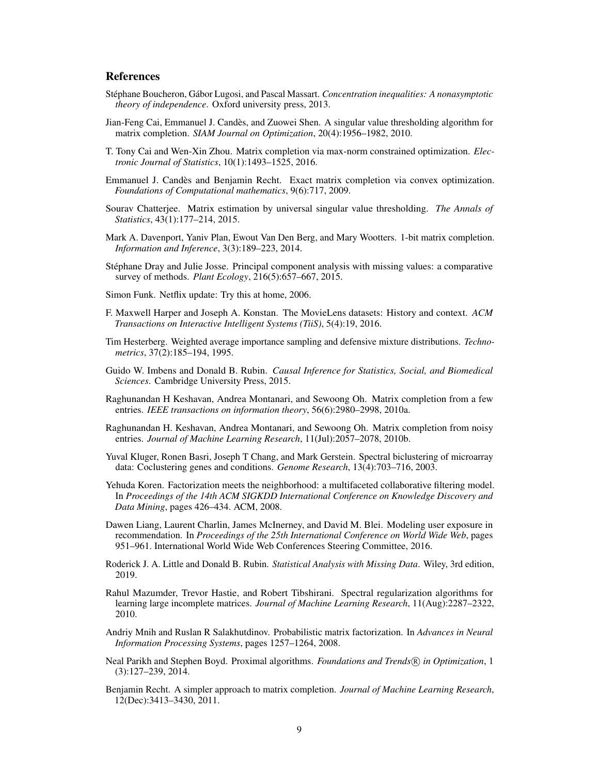## **References**

- Stéphane Boucheron, Gábor Lugosi, and Pascal Massart. *Concentration inequalities: A nonasymptotic theory of independence*. Oxford university press, 2013.
- <span id="page-8-2"></span>Jian-Feng Cai, Emmanuel J. Candès, and Zuowei Shen. A singular value thresholding algorithm for matrix completion. *SIAM Journal on Optimization*, 20(4):1956–1982, 2010.
- <span id="page-8-19"></span>T. Tony Cai and Wen-Xin Zhou. Matrix completion via max-norm constrained optimization. *Electronic Journal of Statistics*, 10(1):1493–1525, 2016.
- <span id="page-8-1"></span>Emmanuel J. Candès and Benjamin Recht. Exact matrix completion via convex optimization. *Foundations of Computational mathematics*, 9(6):717, 2009.
- <span id="page-8-6"></span>Sourav Chatterjee. Matrix estimation by universal singular value thresholding. *The Annals of Statistics*, 43(1):177–214, 2015.
- <span id="page-8-10"></span>Mark A. Davenport, Yaniv Plan, Ewout Van Den Berg, and Mary Wootters. 1-bit matrix completion. *Information and Inference*, 3(3):189–223, 2014.
- <span id="page-8-13"></span>Stéphane Dray and Julie Josse. Principal component analysis with missing values: a comparative survey of methods. *Plant Ecology*, 216(5):657–667, 2015.
- <span id="page-8-16"></span>Simon Funk. Netflix update: Try this at home, 2006.
- <span id="page-8-9"></span>F. Maxwell Harper and Joseph A. Konstan. The MovieLens datasets: History and context. *ACM Transactions on Interactive Intelligent Systems (TiiS)*, 5(4):19, 2016.
- <span id="page-8-12"></span>Tim Hesterberg. Weighted average importance sampling and defensive mixture distributions. *Technometrics*, 37(2):185–194, 1995.
- <span id="page-8-8"></span>Guido W. Imbens and Donald B. Rubin. *Causal Inference for Statistics, Social, and Biomedical Sciences*. Cambridge University Press, 2015.
- <span id="page-8-3"></span>Raghunandan H Keshavan, Andrea Montanari, and Sewoong Oh. Matrix completion from a few entries. *IEEE transactions on information theory*, 56(6):2980–2998, 2010a.
- <span id="page-8-4"></span>Raghunandan H. Keshavan, Andrea Montanari, and Sewoong Oh. Matrix completion from noisy entries. *Journal of Machine Learning Research*, 11(Jul):2057–2078, 2010b.
- <span id="page-8-0"></span>Yuval Kluger, Ronen Basri, Joseph T Chang, and Mark Gerstein. Spectral biclustering of microarray data: Coclustering genes and conditions. *Genome Research*, 13(4):703–716, 2003.
- <span id="page-8-17"></span>Yehuda Koren. Factorization meets the neighborhood: a multifaceted collaborative filtering model. In *Proceedings of the 14th ACM SIGKDD International Conference on Knowledge Discovery and Data Mining*, pages 426–434. ACM, 2008.
- <span id="page-8-7"></span>Dawen Liang, Laurent Charlin, James McInerney, and David M. Blei. Modeling user exposure in recommendation. In *Proceedings of the 25th International Conference on World Wide Web*, pages 951–961. International World Wide Web Conferences Steering Committee, 2016.
- <span id="page-8-11"></span>Roderick J. A. Little and Donald B. Rubin. *Statistical Analysis with Missing Data*. Wiley, 3rd edition, 2019.
- <span id="page-8-18"></span>Rahul Mazumder, Trevor Hastie, and Robert Tibshirani. Spectral regularization algorithms for learning large incomplete matrices. *Journal of Machine Learning Research*, 11(Aug):2287–2322, 2010.
- <span id="page-8-15"></span>Andriy Mnih and Ruslan R Salakhutdinov. Probabilistic matrix factorization. In *Advances in Neural Information Processing Systems*, pages 1257–1264, 2008.
- <span id="page-8-14"></span>Neal Parikh and Stephen Boyd. Proximal algorithms. *Foundations and Trends* <sup>R</sup> *in Optimization*, 1 (3):127–239, 2014.
- <span id="page-8-5"></span>Benjamin Recht. A simpler approach to matrix completion. *Journal of Machine Learning Research*, 12(Dec):3413–3430, 2011.